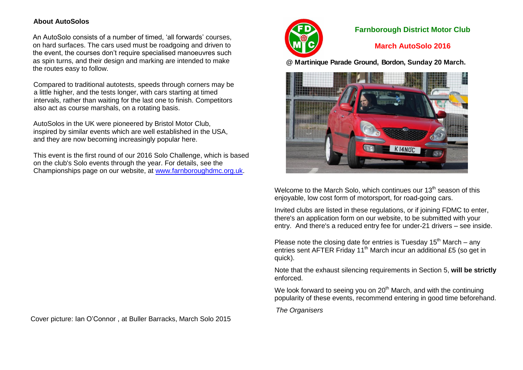## **About AutoSolos**

An AutoSolo consists of a number of timed, 'all forwards' courses, on hard surfaces. The cars used must be roadgoing and driven to the event, the courses don't require specialised manoeuvres such as spin turns, and their design and marking are intended to make the routes easy to follow.

Compared to traditional autotests, speeds through corners may be a little higher, and the tests longer, with cars starting at timed intervals, rather than waiting for the last one to finish. Competitors also act as course marshals, on a rotating basis.

AutoSolos in the UK were pioneered by Bristol Motor Club, inspired by similar events which are well established in the USA, and they are now becoming increasingly popular here.

This event is the first round of our 2016 Solo Challenge, which is based on the club's Solo events through the year. For details, see the Championships page on our website, at [www.farnboroughdmc.org.uk.](http://www.farnboroughdmc.org.uk/)



# **Farnborough District Motor Club**

# **March AutoSolo 2016**

**@ Martinique Parade Ground, Bordon, Sunday 20 March.**



Welcome to the March Solo, which continues our  $13<sup>th</sup>$  season of this enjoyable, low cost form of motorsport, for road-going cars.

Invited clubs are listed in these regulations, or if joining FDMC to enter, there's an application form on our website, to be submitted with your entry. And there's a reduced entry fee for under-21 drivers – see inside.

Please note the closing date for entries is Tuesday  $15<sup>th</sup>$  March – any entries sent AFTER Friday 11<sup>th</sup> March incur an additional £5 (so get in quick).

Note that the exhaust silencing requirements in Section 5, **will be strictly**  enforced.

We look forward to seeing you on  $20<sup>th</sup>$  March, and with the continuing popularity of these events, recommend entering in good time beforehand.

*The Organisers*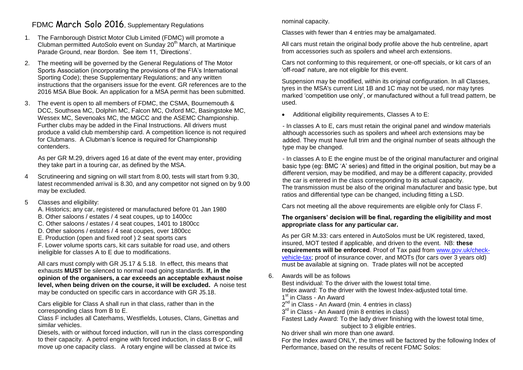# FDMC March Solo 2016, Supplementary Regulations

- 1. The Farnborough District Motor Club Limited (FDMC) will promote a Clubman permitted AutoSolo event on Sunday 20<sup>th</sup> March, at Martinique Parade Ground, near Bordon. See item 11, 'Directions'.
- 2. The meeting will be governed by the General Regulations of The Motor Sports Association (incorporating the provisions of the FIA's International Sporting Code); these Supplementary Regulations; and any written instructions that the organisers issue for the event. GR references are to the 2016 MSA Blue Book. An application for a MSA permit has been submitted.
- 3. The event is open to all members of FDMC, the CSMA, Bournemouth & DCC, Southsea MC, Dolphin MC, Falcon MC, Oxford MC, Basingstoke MC, Wessex MC, Sevenoaks MC, the MGCC and the ASEMC Championship. Further clubs may be added in the Final Instructions. All drivers must produce a valid club membership card. A competition licence is not required for Clubmans. A Clubman's licence is required for Championship contenders.

As per GR M.29, drivers aged 16 at date of the event may enter, providing they take part in a touring car, as defined by the MSA.

4 Scrutineering and signing on will start from 8.00, tests will start from 9.30, latest recommended arrival is 8.30, and any competitor not signed on by 9.00 may be excluded.

### 5 Classes and eligibility:

- A. Historics; any car, registered or manufactured before 01 Jan 1980
- B. Other saloons / estates / 4 seat coupes, up to 1400cc
- C. Other saloons / estates / 4 seat coupes, 1401 to 1800cc
- D. Other saloons / estates / 4 seat coupes, over 1800cc
- E. Production (open and fixed roof ) 2 seat sports cars

F. Lower volume sports cars, kit cars suitable for road use, and others ineligible for classes A to E due to modifications.

All cars must comply with GR J5.17 & 5.18. In effect, this means that exhausts **MUST** be silenced to normal road going standards. **If, in the opinion of the organisers, a car exceeds an acceptable exhaust noise level, when being driven on the course, it will be excluded.** A noise test may be conducted on specific cars in accordance with GR J5.18.

Cars eligible for Class A shall run in that class, rather than in the corresponding class from B to E.

Class F includes all Caterhams, Westfields, Lotuses, Clans, Ginettas and similar vehicles.

Diesels, with or without forced induction, will run in the class corresponding to their capacity. A petrol engine with forced induction, in class B or C, will move up one capacity class. A rotary engine will be classed at twice its

nominal capacity.

Classes with fewer than 4 entries may be amalgamated.

All cars must retain the original body profile above the hub centreline, apart from accessories such as spoilers and wheel arch extensions.

Cars not conforming to this requirement, or one-off specials, or kit cars of an 'off-road' nature, are not eligible for this event.

Suspension may be modified, within its original configuration. In all Classes, tyres in the MSA's current List 1B and 1C may not be used, nor may tyres marked 'competition use only', or manufactured without a full tread pattern, be used.

• Additional eligibility requirements, Classes A to E:

- In classes A to E, cars must retain the original panel and window materials although accessories such as spoilers and wheel arch extensions may be added. They must have full trim and the original number of seats although the type may be changed.

- In classes A to E the engine must be of the original manufacturer and original basic type (eg: BMC 'A' series) and fitted in the original position, but may be a different version, may be modified, and may be a different capacity, provided the car is entered in the class corresponding to its actual capacity. The transmission must be also of the original manufacturer and basic type, but ratios and differential type can be changed, including fitting a LSD.

Cars not meeting all the above requirements are eligible only for Class F.

## **The organisers' decision will be final, regarding the eligibility and most appropriate class for any particular car.**

As per GR M.33: cars entered in AutoSolos must be UK registered, taxed, insured, MOT tested if applicable, and driven to the event. NB: **these requirements will be enforced**. Proof of Tax paid from [www.gov.uk/check](http://www.gov.uk/check-vehicle-tax)[vehicle-tax;](http://www.gov.uk/check-vehicle-tax) proof of insurance cover, and MOTs (for cars over 3 years old) must be available at signing on. Trade plates will not be accepted

- 6. Awards will be as follows
	- Best individual: To the driver with the lowest total time.

Index award: To the driver with the lowest Index-adjusted total time.

1<sup>st</sup> in Class - An Award

- $2^{nd}$  in Class An Award (min. 4 entries in class)
- 3<sup>rd</sup> in Class An Award (min 8 entries in class)

Fastest Lady Award: To the lady driver finishing with the lowest total time, subject to 3 eligible entries.

No driver shall win more than one award.

For the Index award ONLY, the times will be factored by the following Index of Performance, based on the results of recent FDMC Solos: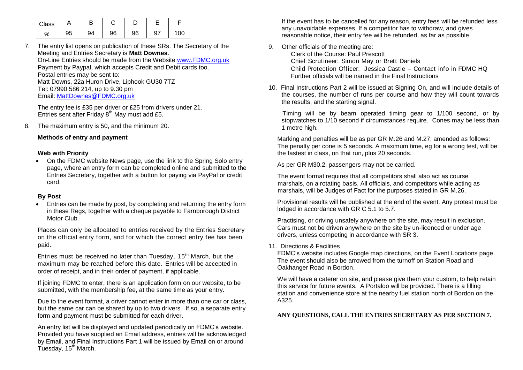| Class |    |    |    |    |    |     |
|-------|----|----|----|----|----|-----|
| %     | 95 | 94 | 96 | 96 | 97 | 100 |

7. The entry list opens on publication of these SRs. The Secretary of the Meeting and Entries Secretary is **Matt Downes**. On-Line Entries should be made from the Website [www.FDMC.org.uk](http://www.fdmc.org.uk/) Payment by Paypal, which accepts Credit and Debit cards too. Postal entries may be sent to: Matt Downs, 22a Huron Drive, Liphook GU30 7TZ Tel: 07990 586 214, up to 9.30 pm Email: [MattDownes@FDMC.org.uk](mailto:MattDownes@FDMC.org.uk)

The entry fee is £35 per driver or £25 from drivers under 21. Entries sent after Friday  $8<sup>th</sup>$  May must add £5.

8. The maximum entry is 50, and the minimum 20.

#### **Methods of entry and payment**

#### **Web with Priority**

 On the FDMC website News page, use the link to the Spring Solo entry page, where an entry form can be completed online and submitted to the Entries Secretary, together with a button for paying via PayPal or credit card.

### **By Post**

 Entries can be made by post, by completing and returning the entry form in these Regs, together with a cheque payable to Farnborough District Motor Club.

Places can only be allocated to entries received by the Entries Secretary on the official entry form, and for which the correct entry fee has been paid.

Entries must be received no later than Tuesday, 15<sup>th</sup> March, but the maximum may be reached before this date. Entries will be accepted in order of receipt, and in their order of payment, if applicable.

If joining FDMC to enter, there is an application form on our website, to be submitted, with the membership fee, at the same time as your entry.

Due to the event format, a driver cannot enter in more than one car or class, but the same car can be shared by up to two drivers. If so, a separate entry form and payment must be submitted for each driver.

An entry list will be displayed and updated periodically on FDMC's website. Provided you have supplied an Email address, entries will be acknowledged by Email, and Final Instructions Part 1 will be issued by Email on or around Tuesday, 15<sup>th</sup> March.

If the event has to be cancelled for any reason, entry fees will be refunded less any unavoidable expenses. If a competitor has to withdraw, and gives reasonable notice, their entry fee will be refunded, as far as possible.

- 9. Other officials of the meeting are: Clerk of the Course: Paul Prescott Chief Scrutineer: Simon May or Brett Daniels Child Protection Officer: Jessica Castle – Contact info in FDMC HQ Further officials will be named in the Final Instructions
- 10. Final Instructions Part 2 will be issued at Signing On, and will include details of the courses, the number of runs per course and how they will count towards the results, and the starting signal.

Timing will be by beam operated timing gear to 1/100 second, or by stopwatches to 1/10 second if circumstances require. Cones may be less than 1 metre high.

Marking and penalties will be as per GR M.26 and M.27, amended as follows: The penalty per cone is 5 seconds. A maximum time, eg for a wrong test, will be the fastest in class, on that run, plus 20 seconds.

As per GR M30.2. passengers may not be carried.

The event format requires that all competitors shall also act as course marshals, on a rotating basis. All officials, and competitors while acting as marshals, will be Judges of Fact for the purposes stated in GR M.26.

Provisional results will be published at the end of the event. Any protest must be lodged in accordance with GR C 5.1 to 5.7.

Practising, or driving unsafely anywhere on the site, may result in exclusion. Cars must not be driven anywhere on the site by un-licenced or under age drivers, unless competing in accordance with SR 3.

#### 11. Directions & Facilities

FDMC's website includes Google map directions, on the Event Locations page. The event should also be arrowed from the turnoff on Station Road and Oakhanger Road in Bordon.

We will have a caterer on site, and please give them your custom, to help retain this service for future events. A Portaloo will be provided. There is a filling station and convenience store at the nearby fuel station north of Bordon on the A325.

**ANY QUESTIONS, CALL THE ENTRIES SECRETARY AS PER SECTION 7.**